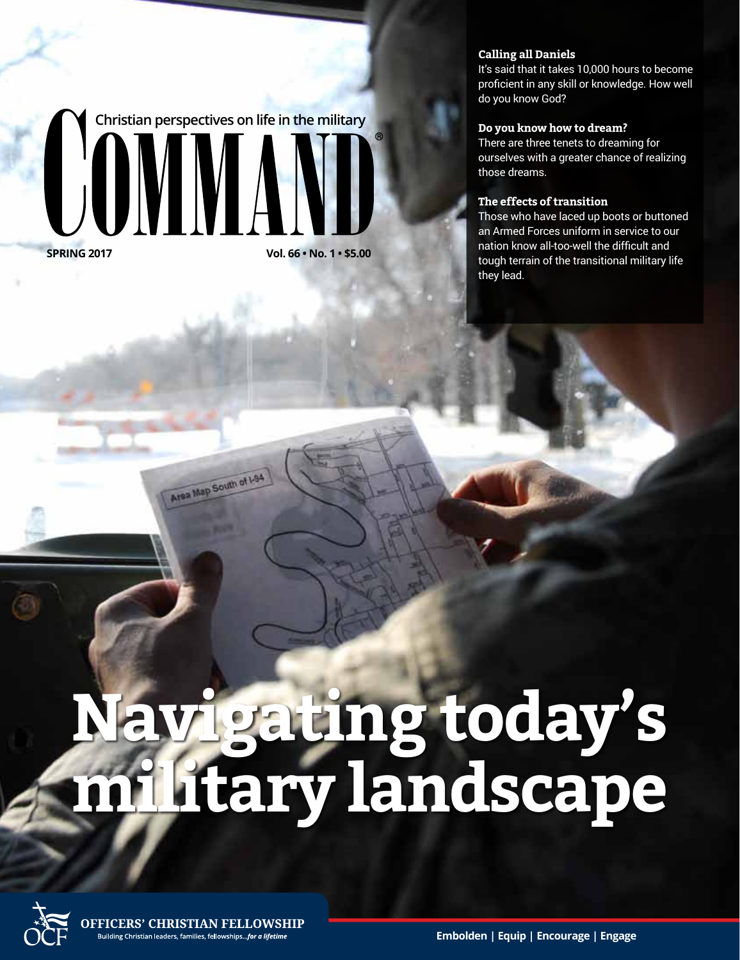**Christian perspectives on life in the military UMM** 

Area Map South of 1-94

**SPRING 2017 Vol. 66 • No. 1 • \$5.00**

#### **Calling all Daniels**

It's said that it takes 10,000 hours to become proficient in any skill or knowledge. How well do you know God?

#### **Do you know how to dream?**

There are three tenets to dreaming for ourselves with a greater chance of realizing those dreams.

#### **The effects of transition**

Those who have laced up boots or buttoned an Armed Forces uniform in service to our nation know all-too-well the difficult and tough terrain of the transitional military life they lead.

# **Navigating today's military landscape**

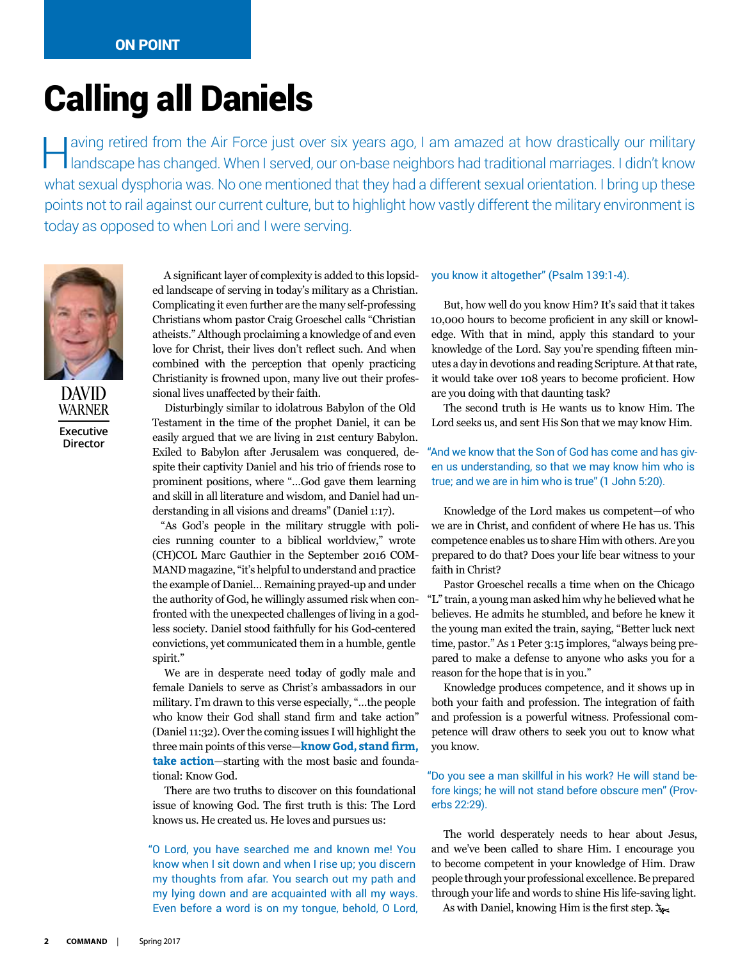### Calling all Daniels

Having retired from the Air Force just over six years ago, I am amazed at how drastically our military landscape has changed. When I served, our on-base neighbors had traditional marriages. I didn't know what sexual dysphoria was. No one mentioned that they had a different sexual orientation. I bring up these points not to rail against our current culture, but to highlight how vastly different the military environment is today as opposed to when Lori and I were serving.



DAVID WARNER **Executive Director**

A significant layer of complexity is added to this lopsided landscape of serving in today's military as a Christian. Complicating it even further are the many self-professing Christians whom pastor Craig Groeschel calls "Christian atheists." Although proclaiming a knowledge of and even love for Christ, their lives don't reflect such. And when combined with the perception that openly practicing Christianity is frowned upon, many live out their professional lives unaffected by their faith.

Disturbingly similar to idolatrous Babylon of the Old Testament in the time of the prophet Daniel, it can be easily argued that we are living in 21st century Babylon. Exiled to Babylon after Jerusalem was conquered, despite their captivity Daniel and his trio of friends rose to prominent positions, where "…God gave them learning and skill in all literature and wisdom, and Daniel had understanding in all visions and dreams" (Daniel 1:17).

"As God's people in the military struggle with policies running counter to a biblical worldview," wrote (CH)COL Marc Gauthier in the September 2016 COM-MAND magazine, "it's helpful to understand and practice the example of Daniel… Remaining prayed-up and under the authority of God, he willingly assumed risk when confronted with the unexpected challenges of living in a godless society. Daniel stood faithfully for his God-centered convictions, yet communicated them in a humble, gentle spirit."

We are in desperate need today of godly male and female Daniels to serve as Christ's ambassadors in our military. I'm drawn to this verse especially, "…the people who know their God shall stand firm and take action" (Daniel 11:32). Over the coming issues I will highlight the three main points of this verse—**know God, stand firm, take action**—starting with the most basic and foundational: Know God.

There are two truths to discover on this foundational issue of knowing God. The first truth is this: The Lord knows us. He created us. He loves and pursues us:

"O Lord, you have searched me and known me! You know when I sit down and when I rise up; you discern my thoughts from afar. You search out my path and my lying down and are acquainted with all my ways. Even before a word is on my tongue, behold, O Lord,

#### you know it altogether" (Psalm 139:1-4).

But, how well do you know Him? It's said that it takes 10,000 hours to become proficient in any skill or knowledge. With that in mind, apply this standard to your knowledge of the Lord. Say you're spending fifteen minutes a day in devotions and reading Scripture. At that rate, it would take over 108 years to become proficient. How are you doing with that daunting task?

The second truth is He wants us to know Him. The Lord seeks us, and sent His Son that we may know Him.

#### "And we know that the Son of God has come and has given us understanding, so that we may know him who is true; and we are in him who is true" (1 John 5:20).

Knowledge of the Lord makes us competent—of who we are in Christ, and confident of where He has us. This competence enables us to share Him with others. Are you prepared to do that? Does your life bear witness to your faith in Christ?

Pastor Groeschel recalls a time when on the Chicago "L" train, a young man asked him why he believed what he believes. He admits he stumbled, and before he knew it the young man exited the train, saying, "Better luck next time, pastor." As 1 Peter 3:15 implores, "always being prepared to make a defense to anyone who asks you for a reason for the hope that is in you."

Knowledge produces competence, and it shows up in both your faith and profession. The integration of faith and profession is a powerful witness. Professional competence will draw others to seek you out to know what you know.

#### "Do you see a man skillful in his work? He will stand before kings; he will not stand before obscure men" (Proverbs 22:29).

The world desperately needs to hear about Jesus, and we've been called to share Him. I encourage you to become competent in your knowledge of Him. Draw people through your professional excellence. Be prepared through your life and words to shine His life-saving light.

As with Daniel, knowing Him is the first step.  $\lambda$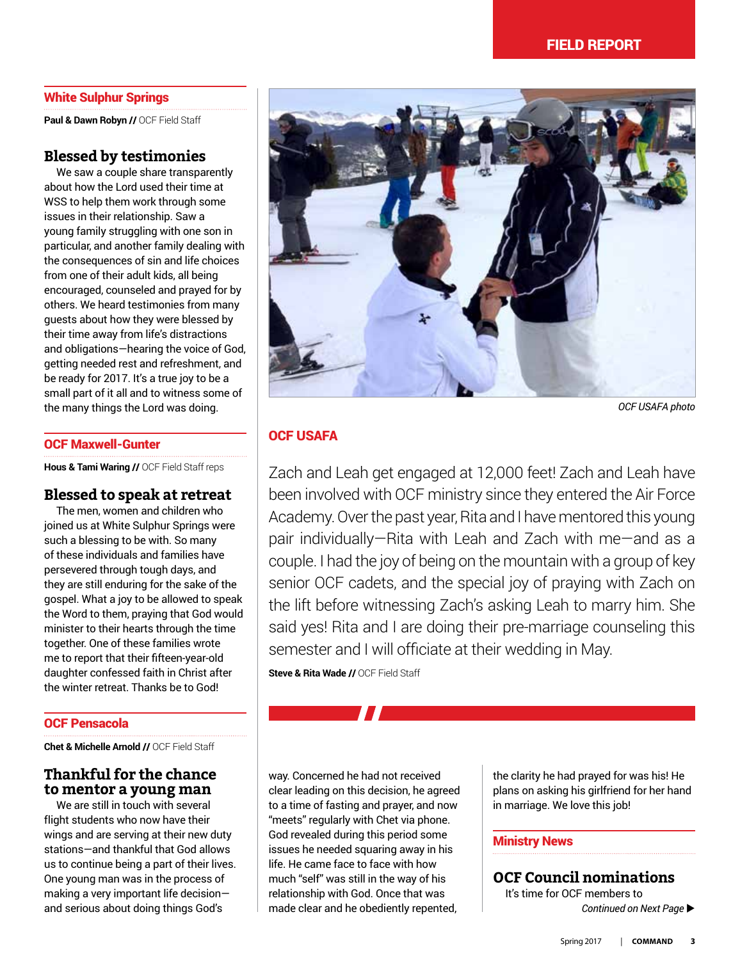#### White Sulphur Springs

Paul & Dawn Robyn // OCF Field Staff

#### **Blessed by testimonies**

We saw a couple share transparently about how the Lord used their time at WSS to help them work through some issues in their relationship. Saw a young family struggling with one son in particular, and another family dealing with the consequences of sin and life choices from one of their adult kids, all being encouraged, counseled and prayed for by others. We heard testimonies from many guests about how they were blessed by their time away from life's distractions and obligations—hearing the voice of God, getting needed rest and refreshment, and be ready for 2017. It's a true joy to be a small part of it all and to witness some of the many things the Lord was doing.

#### OCF Maxwell-Gunter

**Hous & Tami Waring //** OCF Field Staff reps

#### **Blessed to speak at retreat**

The men, women and children who joined us at White Sulphur Springs were such a blessing to be with. So many of these individuals and families have persevered through tough days, and they are still enduring for the sake of the gospel. What a joy to be allowed to speak the Word to them, praying that God would minister to their hearts through the time together. One of these families wrote me to report that their fifteen-year-old daughter confessed faith in Christ after the winter retreat. Thanks be to God!

#### OCF Pensacola

**Chet & Michelle Arnold //** OCF Field Staff

#### **Thankful for the chance to mentor a young man**

We are still in touch with several flight students who now have their wings and are serving at their new duty stations—and thankful that God allows us to continue being a part of their lives. One young man was in the process of making a very important life decision and serious about doing things God's



*OCF USAFA photo*

#### OCF USAFA

Zach and Leah get engaged at 12,000 feet! Zach and Leah have been involved with OCF ministry since they entered the Air Force Academy. Over the past year, Rita and I have mentored this young pair individually—Rita with Leah and Zach with me—and as a couple. I had the joy of being on the mountain with a group of key senior OCF cadets, and the special joy of praying with Zach on the lift before witnessing Zach's asking Leah to marry him. She said yes! Rita and I are doing their pre-marriage counseling this semester and I will officiate at their wedding in May.

**Steve & Rita Wade //** OCF Field Staff

way. Concerned he had not received clear leading on this decision, he agreed to a time of fasting and prayer, and now "meets" regularly with Chet via phone. God revealed during this period some issues he needed squaring away in his life. He came face to face with how much "self" was still in the way of his relationship with God. Once that was made clear and he obediently repented,

the clarity he had prayed for was his! He plans on asking his girlfriend for her hand in marriage. We love this job!

#### Ministry News

**OCF Council nominations** It's time for OCF members to **Continued on Next Page >**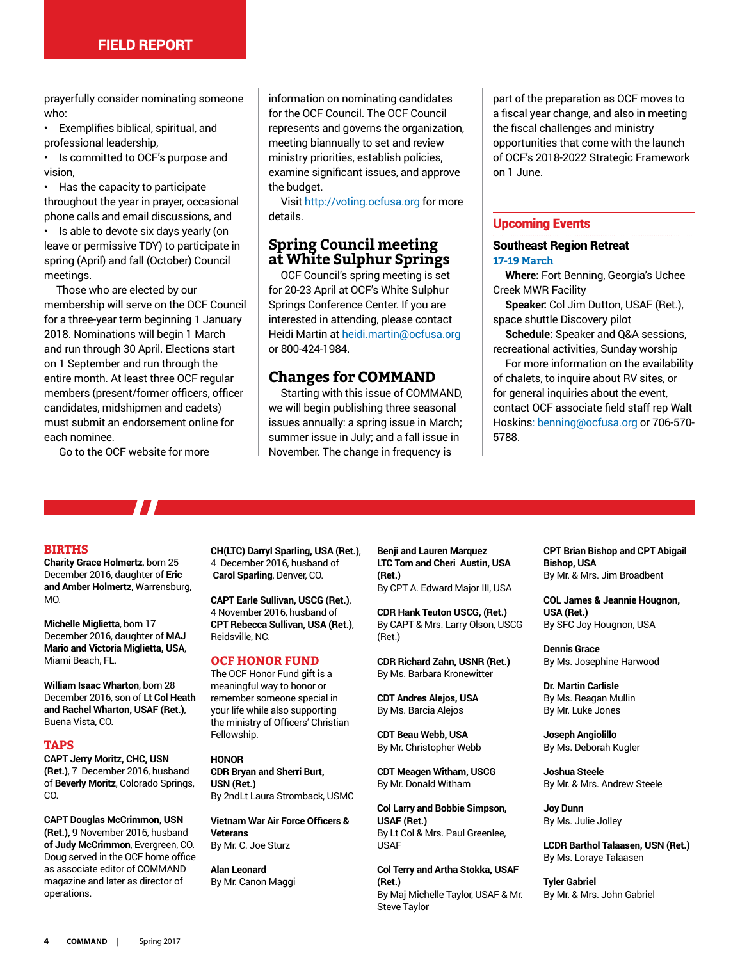prayerfully consider nominating someone who:

• Exemplifies biblical, spiritual, and professional leadership,

Is committed to OCF's purpose and vision,

• Has the capacity to participate throughout the year in prayer, occasional phone calls and email discussions, and

• Is able to devote six days yearly (on leave or permissive TDY) to participate in spring (April) and fall (October) Council meetings.

Those who are elected by our membership will serve on the OCF Council for a three-year term beginning 1 January 2018. Nominations will begin 1 March and run through 30 April. Elections start on 1 September and run through the entire month. At least three OCF regular members (present/former officers, officer candidates, midshipmen and cadets) must submit an endorsement online for each nominee.

Go to the OCF website for more

information on nominating candidates for the OCF Council. The OCF Council represents and governs the organization, meeting biannually to set and review ministry priorities, establish policies, examine significant issues, and approve the budget.

Visit http://voting.ocfusa.org for more details.

#### **Spring Council meeting at White Sulphur Springs**

OCF Council's spring meeting is set for 20-23 April at OCF's White Sulphur Springs Conference Center. If you are interested in attending, please contact Heidi Martin at heidi.martin@ocfusa.org or 800-424-1984.

#### **Changes for COMMAND**

Starting with this issue of COMMAND, we will begin publishing three seasonal issues annually: a spring issue in March; summer issue in July; and a fall issue in November. The change in frequency is

part of the preparation as OCF moves to a fiscal year change, and also in meeting the fiscal challenges and ministry opportunities that come with the launch of OCF's 2018-2022 Strategic Framework on 1 June.

#### Upcoming Events

#### Southeast Region Retreat **17-19 March**

**Where:** Fort Benning, Georgia's Uchee Creek MWR Facility

**Speaker:** Col Jim Dutton, USAF (Ret.), space shuttle Discovery pilot

**Schedule:** Speaker and Q&A sessions, recreational activities, Sunday worship

For more information on the availability of chalets, to inquire about RV sites, or for general inquiries about the event, contact OCF associate field staff rep Walt Hoskins: benning@ocfusa.org or 706-570- 5788.

#### **BIRTHS**

**Charity Grace Holmertz**, born 25 December 2016, daughter of **Eric and Amber Holmertz**, Warrensburg, MO.

**Michelle Miglietta**, born 17 December 2016, daughter of **MAJ Mario and Victoria Miglietta, USA**, Miami Beach, FL.

**William Isaac Wharton**, born 28 December 2016, son of **Lt Col Heath and Rachel Wharton, USAF (Ret.)**, Buena Vista, CO.

#### **TAPS**

**CAPT Jerry Moritz, CHC, USN (Ret.)**, 7 December 2016, husband of **Beverly Moritz**, Colorado Springs, CO.

**CAPT Douglas McCrimmon, USN (Ret.),** 9 November 2016, husband **of Judy McCrimmon**, Evergreen, CO. Doug served in the OCF home office as associate editor of COMMAND magazine and later as director of operations.

**CH(LTC) Darryl Sparling, USA (Ret.)**, 4 December 2016, husband of **Carol Sparling**, Denver, CO.

**CAPT Earle Sullivan, USCG (Ret.)**, 4 November 2016, husband of **CPT Rebecca Sullivan, USA (Ret.)**, Reidsville, NC.

#### **OCF HONOR FUND**

The OCF Honor Fund gift is a meaningful way to honor or remember someone special in your life while also supporting the ministry of Officers' Christian Fellowship.

#### **HONOR**

**CDR Bryan and Sherri Burt, USN (Ret.)** By 2ndLt Laura Stromback, USMC

**Vietnam War Air Force Officers & Veterans** By Mr. C. Joe Sturz

**Alan Leonard** By Mr. Canon Maggi **Benji and Lauren Marquez LTC Tom and Cheri Austin, USA (Ret.)** By CPT A. Edward Major III, USA

**CDR Hank Teuton USCG, (Ret.)** By CAPT & Mrs. Larry Olson, USCG (Ret.)

**CDR Richard Zahn, USNR (Ret.)** By Ms. Barbara Kronewitter

**CDT Andres Alejos, USA** By Ms. Barcia Alejos

**CDT Beau Webb, USA** By Mr. Christopher Webb

**CDT Meagen Witham, USCG** By Mr. Donald Witham

**Col Larry and Bobbie Simpson, USAF (Ret.)** By Lt Col & Mrs. Paul Greenlee, USAF

**Col Terry and Artha Stokka, USAF (Ret.)** By Maj Michelle Taylor, USAF & Mr. Steve Taylor

**CPT Brian Bishop and CPT Abigail Bishop, USA** By Mr. & Mrs. Jim Broadbent

**COL James & Jeannie Hougnon, USA (Ret.)** By SFC Joy Hougnon, USA

**Dennis Grace** By Ms. Josephine Harwood

**Dr. Martin Carlisle** By Ms. Reagan Mullin By Mr. Luke Jones

**Joseph Angiolillo** By Ms. Deborah Kugler

**Joshua Steele** By Mr. & Mrs. Andrew Steele

**Joy Dunn** By Ms. Julie Jolley

**LCDR Barthol Talaasen, USN (Ret.)** By Ms. Loraye Talaasen

**Tyler Gabriel** By Mr. & Mrs. John Gabriel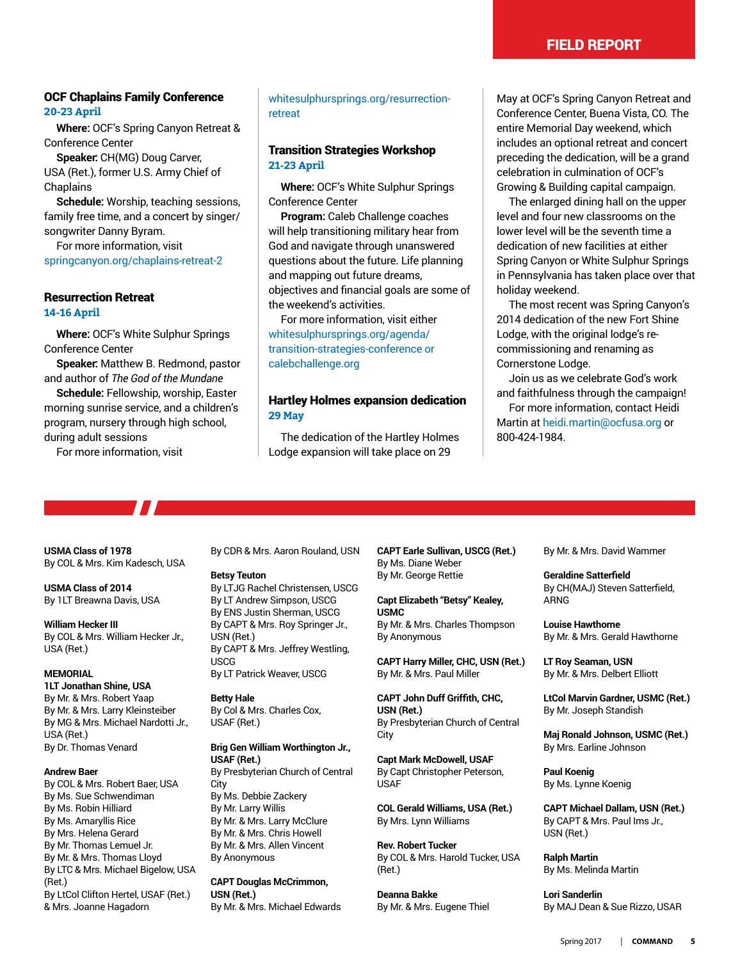#### field report

#### OCF Chaplains Family Conference **20-23 April**

**Where:** OCF's Spring Canyon Retreat & Conference Center

**Speaker:** CH(MG) Doug Carver, USA (Ret.), former U.S. Army Chief of **Chaplains** 

**Schedule:** Worship, teaching sessions, family free time, and a concert by singer/ songwriter Danny Byram.

For more information, visit springcanyon.org/chaplains-retreat-2

#### Resurrection Retreat

**14-16 April** 

**Where:** OCF's White Sulphur Springs Conference Center

**Speaker:** Matthew B. Redmond, pastor and author of *The God of the Mundane*

**Schedule:** Fellowship, worship, Easter morning sunrise service, and a children's program, nursery through high school, during adult sessions

For more information, visit

<u>та и проведени на видите на видите на видите на видите на видите на видите на видите на видите на видите на в</u>

#### whitesulphursprings.org/resurrectionretreat

#### Transition Strategies Workshop **21-23 April**

**Where:** OCF's White Sulphur Springs Conference Center

**Program:** Caleb Challenge coaches will help transitioning military hear from God and navigate through unanswered questions about the future. Life planning and mapping out future dreams, objectives and financial goals are some of the weekend's activities.

For more information, visit either whitesulphursprings.org/agenda/ transition-strategies-conference or calebchallenge.org

#### Hartley Holmes expansion dedication **29 May**

The dedication of the Hartley Holmes Lodge expansion will take place on 29

May at OCF's Spring Canyon Retreat and Conference Center, Buena Vista, CO. The entire Memorial Day weekend, which includes an optional retreat and concert preceding the dedication, will be a grand celebration in culmination of OCF's Growing & Building capital campaign.

The enlarged dining hall on the upper level and four new classrooms on the lower level will be the seventh time a dedication of new facilities at either Spring Canyon or White Sulphur Springs in Pennsylvania has taken place over that holiday weekend.

The most recent was Spring Canyon's 2014 dedication of the new Fort Shine Lodge, with the original lodge's recommissioning and renaming as Cornerstone Lodge.

Join us as we celebrate God's work and faithfulness through the campaign!

For more information, contact Heidi Martin at heidi.martin@ocfusa.org or 800-424-1984.

**USMA Class of 1978** By COL & Mrs. Kim Kadesch, USA

**USMA Class of 2014** By 1LT Breawna Davis, USA

**William Hecker III** By COL & Mrs. William Hecker Jr., USA (Ret.)

#### **MEMORIAL**

**1LT Jonathan Shine, USA** By Mr. & Mrs. Robert Yaap By Mr. & Mrs. Larry Kleinsteiber By MG & Mrs. Michael Nardotti Jr., USA (Ret.) By Dr. Thomas Venard

#### **Andrew Baer**

By COL & Mrs. Robert Baer, USA By Ms. Sue Schwendiman By Ms. Robin Hilliard By Ms. Amaryllis Rice By Mrs. Helena Gerard By Mr. Thomas Lemuel Jr. By Mr. & Mrs. Thomas Lloyd By LTC & Mrs. Michael Bigelow, USA (Ret.) By LtCol Clifton Hertel, USAF (Ret.) & Mrs. Joanne Hagadorn

By CDR & Mrs. Aaron Rouland, USN

#### **Betsy Teuton**

By LTJG Rachel Christensen, USCG By LT Andrew Simpson, USCG By ENS Justin Sherman, USCG By CAPT & Mrs. Roy Springer Jr., USN (Ret.) By CAPT & Mrs. Jeffrey Westling, USCG By LT Patrick Weaver, USCG

**Betty Hale**

By Col & Mrs. Charles Cox, USAF (Ret.)

#### **Brig Gen William Worthington Jr., USAF (Ret.)** By Presbyterian Church of Central

City By Ms. Debbie Zackery By Mr. Larry Willis By Mr. & Mrs. Larry McClure By Mr. & Mrs. Chris Howell By Mr. & Mrs. Allen Vincent By Anonymous

**CAPT Douglas McCrimmon, USN (Ret.)** By Mr. & Mrs. Michael Edwards **CAPT Earle Sullivan, USCG (Ret.)** By Ms. Diane Weber By Mr. George Rettie

**Capt Elizabeth "Betsy" Kealey, USMC** By Mr. & Mrs. Charles Thompson By Anonymous

**CAPT Harry Miller, CHC, USN (Ret.)** By Mr. & Mrs. Paul Miller

**CAPT John Duff Griffith, CHC, USN (Ret.)** By Presbyterian Church of Central City

**Capt Mark McDowell, USAF** By Capt Christopher Peterson, USAF

**COL Gerald Williams, USA (Ret.)** By Mrs. Lynn Williams

**Rev. Robert Tucker** By COL & Mrs. Harold Tucker, USA (Ret.)

**Deanna Bakke** By Mr. & Mrs. Eugene Thiel By Mr. & Mrs. David Wammer

#### **Geraldine Satterfield** By CH(MAJ) Steven Satterfield, ARNG

**Louise Hawthorne** By Mr. & Mrs. Gerald Hawthorne

**LT Roy Seaman, USN** By Mr. & Mrs. Delbert Elliott

**LtCol Marvin Gardner, USMC (Ret.)** By Mr. Joseph Standish

**Maj Ronald Johnson, USMC (Ret.)** By Mrs. Earline Johnson

**Paul Koenig** By Ms. Lynne Koenig

**CAPT Michael Dallam, USN (Ret.)** By CAPT & Mrs. Paul Ims Jr., USN (Ret.)

**Ralph Martin** By Ms. Melinda Martin

**Lori Sanderlin** By MAJ Dean & Sue Rizzo, USAR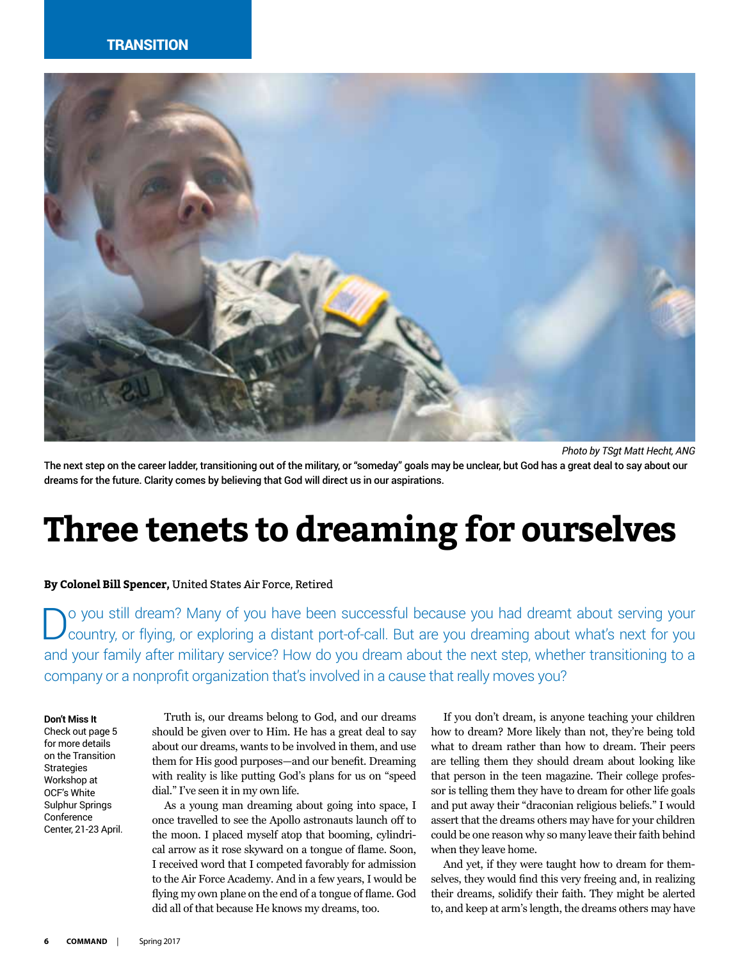#### **TRANSITION**



*Photo by TSgt Matt Hecht, ANG*

The next step on the career ladder, transitioning out of the military, or "someday" goals may be unclear, but God has a great deal to say about our dreams for the future. Clarity comes by believing that God will direct us in our aspirations.

### **Three tenets to dreaming for ourselves**

#### **By Colonel Bill Spencer,** United States Air Force, Retired

o you still dream? Many of you have been successful because you had dreamt about serving your country, or flying, or exploring a distant port-of-call. But are you dreaming about what's next for you and your family after military service? How do you dream about the next step, whether transitioning to a company or a nonprofit organization that's involved in a cause that really moves you?

**Don't Miss It**

Check out page 5 for more details on the Transition **Strategies** Workshop at OCF's White Sulphur Springs Conference Center, 21-23 April.

Truth is, our dreams belong to God, and our dreams should be given over to Him. He has a great deal to say about our dreams, wants to be involved in them, and use them for His good purposes—and our benefit. Dreaming with reality is like putting God's plans for us on "speed dial." I've seen it in my own life.

As a young man dreaming about going into space, I once travelled to see the Apollo astronauts launch off to the moon. I placed myself atop that booming, cylindrical arrow as it rose skyward on a tongue of flame. Soon, I received word that I competed favorably for admission to the Air Force Academy. And in a few years, I would be flying my own plane on the end of a tongue of flame. God did all of that because He knows my dreams, too.

If you don't dream, is anyone teaching your children how to dream? More likely than not, they're being told what to dream rather than how to dream. Their peers are telling them they should dream about looking like that person in the teen magazine. Their college professor is telling them they have to dream for other life goals and put away their "draconian religious beliefs." I would assert that the dreams others may have for your children could be one reason why so many leave their faith behind when they leave home.

And yet, if they were taught how to dream for themselves, they would find this very freeing and, in realizing their dreams, solidify their faith. They might be alerted to, and keep at arm's length, the dreams others may have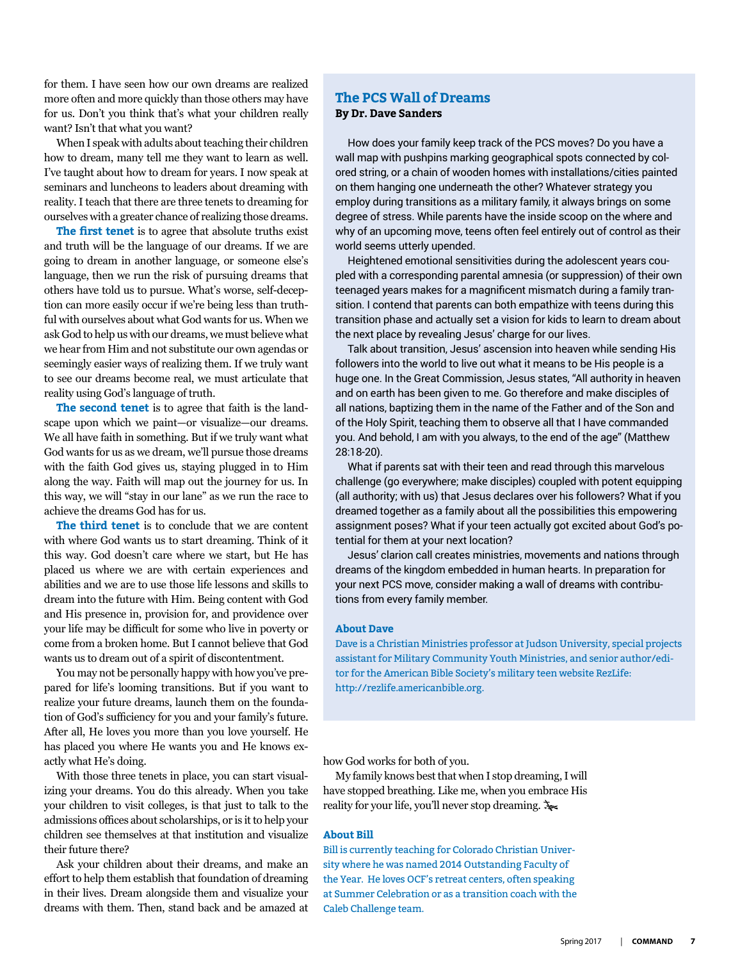for them. I have seen how our own dreams are realized more often and more quickly than those others may have for us. Don't you think that's what your children really want? Isn't that what you want?

When I speak with adults about teaching their children how to dream, many tell me they want to learn as well. I've taught about how to dream for years. I now speak at seminars and luncheons to leaders about dreaming with reality. I teach that there are three tenets to dreaming for ourselves with a greater chance of realizing those dreams.

**The first tenet** is to agree that absolute truths exist and truth will be the language of our dreams. If we are going to dream in another language, or someone else's language, then we run the risk of pursuing dreams that others have told us to pursue. What's worse, self-deception can more easily occur if we're being less than truthful with ourselves about what God wants for us. When we ask God to help us with our dreams, we must believe what we hear from Him and not substitute our own agendas or seemingly easier ways of realizing them. If we truly want to see our dreams become real, we must articulate that reality using God's language of truth.

**The second tenet** is to agree that faith is the landscape upon which we paint—or visualize—our dreams. We all have faith in something. But if we truly want what God wants for us as we dream, we'll pursue those dreams with the faith God gives us, staying plugged in to Him along the way. Faith will map out the journey for us. In this way, we will "stay in our lane" as we run the race to achieve the dreams God has for us.

**The third tenet** is to conclude that we are content with where God wants us to start dreaming. Think of it this way. God doesn't care where we start, but He has placed us where we are with certain experiences and abilities and we are to use those life lessons and skills to dream into the future with Him. Being content with God and His presence in, provision for, and providence over your life may be difficult for some who live in poverty or come from a broken home. But I cannot believe that God wants us to dream out of a spirit of discontentment.

You may not be personally happy with how you've prepared for life's looming transitions. But if you want to realize your future dreams, launch them on the foundation of God's sufficiency for you and your family's future. After all, He loves you more than you love yourself. He has placed you where He wants you and He knows exactly what He's doing.

With those three tenets in place, you can start visualizing your dreams. You do this already. When you take your children to visit colleges, is that just to talk to the admissions offices about scholarships, or is it to help your children see themselves at that institution and visualize their future there?

Ask your children about their dreams, and make an effort to help them establish that foundation of dreaming in their lives. Dream alongside them and visualize your dreams with them. Then, stand back and be amazed at

#### **The PCS Wall of Dreams By Dr. Dave Sanders**

How does your family keep track of the PCS moves? Do you have a wall map with pushpins marking geographical spots connected by colored string, or a chain of wooden homes with installations/cities painted on them hanging one underneath the other? Whatever strategy you employ during transitions as a military family, it always brings on some degree of stress. While parents have the inside scoop on the where and why of an upcoming move, teens often feel entirely out of control as their world seems utterly upended.

Heightened emotional sensitivities during the adolescent years coupled with a corresponding parental amnesia (or suppression) of their own teenaged years makes for a magnificent mismatch during a family transition. I contend that parents can both empathize with teens during this transition phase and actually set a vision for kids to learn to dream about the next place by revealing Jesus' charge for our lives.

Talk about transition, Jesus' ascension into heaven while sending His followers into the world to live out what it means to be His people is a huge one. In the Great Commission, Jesus states, "All authority in heaven and on earth has been given to me. Go therefore and make disciples of all nations, baptizing them in the name of the Father and of the Son and of the Holy Spirit, teaching them to observe all that I have commanded you. And behold, I am with you always, to the end of the age" (Matthew 28:18-20).

What if parents sat with their teen and read through this marvelous challenge (go everywhere; make disciples) coupled with potent equipping (all authority; with us) that Jesus declares over his followers? What if you dreamed together as a family about all the possibilities this empowering assignment poses? What if your teen actually got excited about God's potential for them at your next location?

Jesus' clarion call creates ministries, movements and nations through dreams of the kingdom embedded in human hearts. In preparation for your next PCS move, consider making a wall of dreams with contributions from every family member.

#### **About Dave**

Dave is a Christian Ministries professor at Judson University, special projects assistant for Military Community Youth Ministries, and senior author/editor for the American Bible Society's military teen website RezLife: http://rezlife.americanbible.org.

how God works for both of you.

My family knows best that when I stop dreaming, I will have stopped breathing. Like me, when you embrace His reality for your life, you'll never stop dreaming.

#### **About Bill**

Bill is currently teaching for Colorado Christian University where he was named 2014 Outstanding Faculty of the Year. He loves OCF's retreat centers, often speaking at Summer Celebration or as a transition coach with the Caleb Challenge team.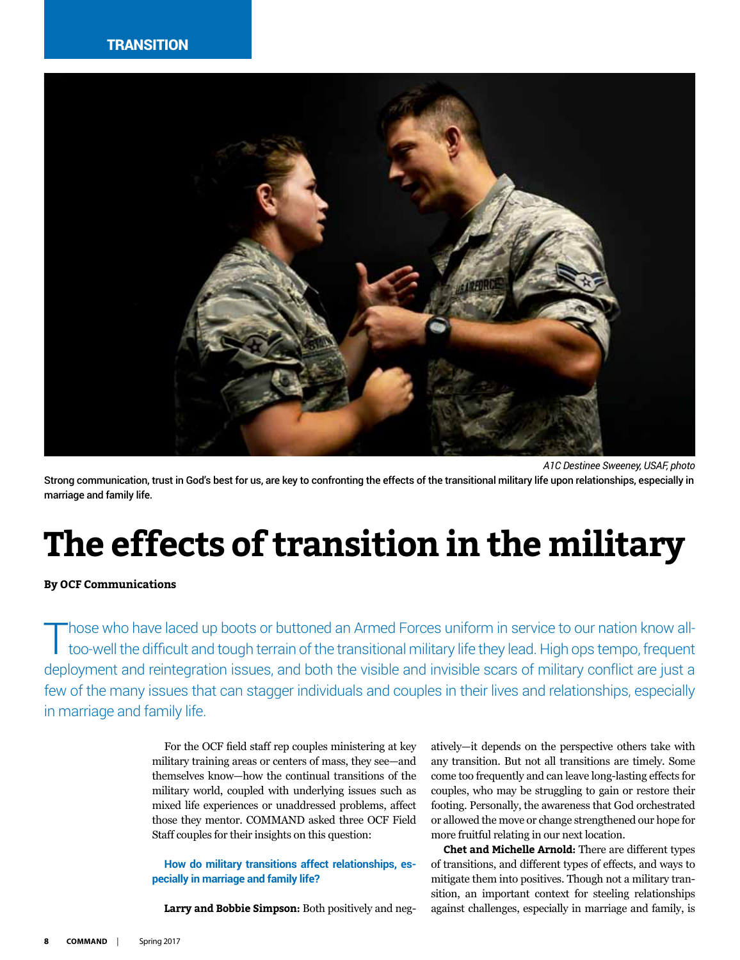

*A1C Destinee Sweeney, USAF, photo* Strong communication, trust in God's best for us, are key to confronting the effects of the transitional military life upon relationships, especially in marriage and family life.

### **The effects of transition in the military**

#### **By OCF Communications**

Those who have laced up boots or buttoned an Armed Forces uniform in service to our nation know alltoo-well the difficult and tough terrain of the transitional military life they lead. High ops tempo, frequent deployment and reintegration issues, and both the visible and invisible scars of military conflict are just a few of the many issues that can stagger individuals and couples in their lives and relationships, especially in marriage and family life.

> For the OCF field staff rep couples ministering at key military training areas or centers of mass, they see—and themselves know—how the continual transitions of the military world, coupled with underlying issues such as mixed life experiences or unaddressed problems, affect those they mentor. COMMAND asked three OCF Field Staff couples for their insights on this question:

> **How do military transitions affect relationships, especially in marriage and family life?**

**Larry and Bobbie Simpson:** Both positively and neg-

atively—it depends on the perspective others take with any transition. But not all transitions are timely. Some come too frequently and can leave long-lasting effects for couples, who may be struggling to gain or restore their footing. Personally, the awareness that God orchestrated or allowed the move or change strengthened our hope for more fruitful relating in our next location.

**Chet and Michelle Arnold:** There are different types of transitions, and different types of effects, and ways to mitigate them into positives. Though not a military transition, an important context for steeling relationships against challenges, especially in marriage and family, is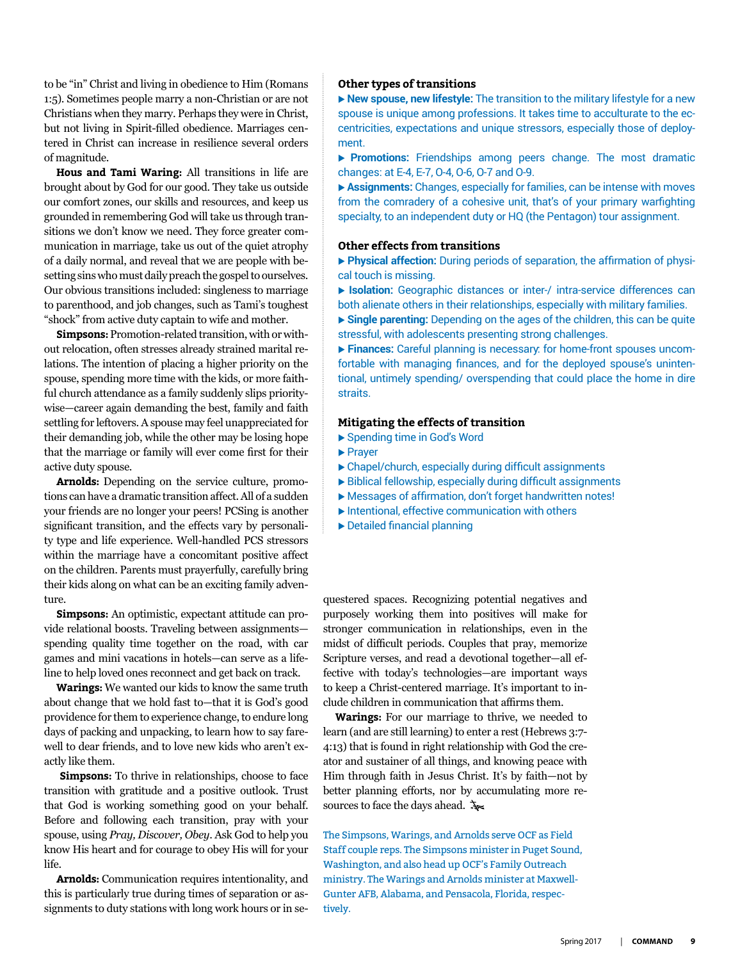to be "in" Christ and living in obedience to Him (Romans 1:5). Sometimes people marry a non-Christian or are not Christians when they marry. Perhaps they were in Christ, but not living in Spirit-filled obedience. Marriages centered in Christ can increase in resilience several orders of magnitude.

**Hous and Tami Waring:** All transitions in life are brought about by God for our good. They take us outside our comfort zones, our skills and resources, and keep us grounded in remembering God will take us through transitions we don't know we need. They force greater communication in marriage, take us out of the quiet atrophy of a daily normal, and reveal that we are people with besetting sins who must daily preach the gospel to ourselves. Our obvious transitions included: singleness to marriage to parenthood, and job changes, such as Tami's toughest "shock" from active duty captain to wife and mother.

**Simpsons:** Promotion-related transition, with or without relocation, often stresses already strained marital relations. The intention of placing a higher priority on the spouse, spending more time with the kids, or more faithful church attendance as a family suddenly slips prioritywise—career again demanding the best, family and faith settling for leftovers. A spouse may feel unappreciated for their demanding job, while the other may be losing hope that the marriage or family will ever come first for their active duty spouse.

**Arnolds:** Depending on the service culture, promotions can have a dramatic transition affect. All of a sudden your friends are no longer your peers! PCSing is another significant transition, and the effects vary by personality type and life experience. Well-handled PCS stressors within the marriage have a concomitant positive affect on the children. Parents must prayerfully, carefully bring their kids along on what can be an exciting family adventure.

**Simpsons:** An optimistic, expectant attitude can provide relational boosts. Traveling between assignments spending quality time together on the road, with car games and mini vacations in hotels—can serve as a lifeline to help loved ones reconnect and get back on track.

**Warings:** We wanted our kids to know the same truth about change that we hold fast to—that it is God's good providence for them to experience change, to endure long days of packing and unpacking, to learn how to say farewell to dear friends, and to love new kids who aren't exactly like them.

**Simpsons:** To thrive in relationships, choose to face transition with gratitude and a positive outlook. Trust that God is working something good on your behalf. Before and following each transition, pray with your spouse, using *Pray, Discover, Obey*. Ask God to help you know His heart and for courage to obey His will for your life.

**Arnolds:** Communication requires intentionality, and this is particularly true during times of separation or assignments to duty stations with long work hours or in se-

#### **Other types of transitions**

▶ New spouse, new lifestyle: The transition to the military lifestyle for a new spouse is unique among professions. It takes time to acculturate to the eccentricities, expectations and unique stressors, especially those of deployment.

**Promotions:** Friendships among peers change. The most dramatic changes: at E-4, E-7, O-4, O-6, O-7 and O-9.

▶ Assignments: Changes, especially for families, can be intense with moves from the comradery of a cohesive unit, that's of your primary warfighting specialty, to an independent duty or HQ (the Pentagon) tour assignment.

#### **Other effects from transitions**

**Physical affection:** During periods of separation, the affirmation of physical touch is missing.

**Isolation:** Geographic distances or inter-/ intra-service differences can both alienate others in their relationships, especially with military families.

**Single parenting:** Depending on the ages of the children, this can be quite stressful, with adolescents presenting strong challenges.

**Finances:** Careful planning is necessary: for home-front spouses uncomfortable with managing finances, and for the deployed spouse's unintentional, untimely spending/ overspending that could place the home in dire straits.

#### **Mitigating the effects of transition**

- ▶ Spending time in God's Word
- $\blacktriangleright$  Prayer
- $\triangleright$  Chapel/church, especially during difficult assignments
- $\triangleright$  Biblical fellowship, especially during difficult assignments
- $\blacktriangleright$  Messages of affirmation, don't forget handwritten notes!
- $\blacktriangleright$  Intentional, effective communication with others
- $\blacktriangleright$  Detailed financial planning

questered spaces. Recognizing potential negatives and purposely working them into positives will make for stronger communication in relationships, even in the midst of difficult periods. Couples that pray, memorize Scripture verses, and read a devotional together—all effective with today's technologies—are important ways to keep a Christ-centered marriage. It's important to include children in communication that affirms them.

**Warings:** For our marriage to thrive, we needed to learn (and are still learning) to enter a rest (Hebrews 3:7- 4:13) that is found in right relationship with God the creator and sustainer of all things, and knowing peace with Him through faith in Jesus Christ. It's by faith—not by better planning efforts, nor by accumulating more resources to face the days ahead.  $\lambda$ 

The Simpsons, Warings, and Arnolds serve OCF as Field Staff couple reps. The Simpsons minister in Puget Sound, Washington, and also head up OCF's Family Outreach ministry. The Warings and Arnolds minister at Maxwell-Gunter AFB, Alabama, and Pensacola, Florida, respectively.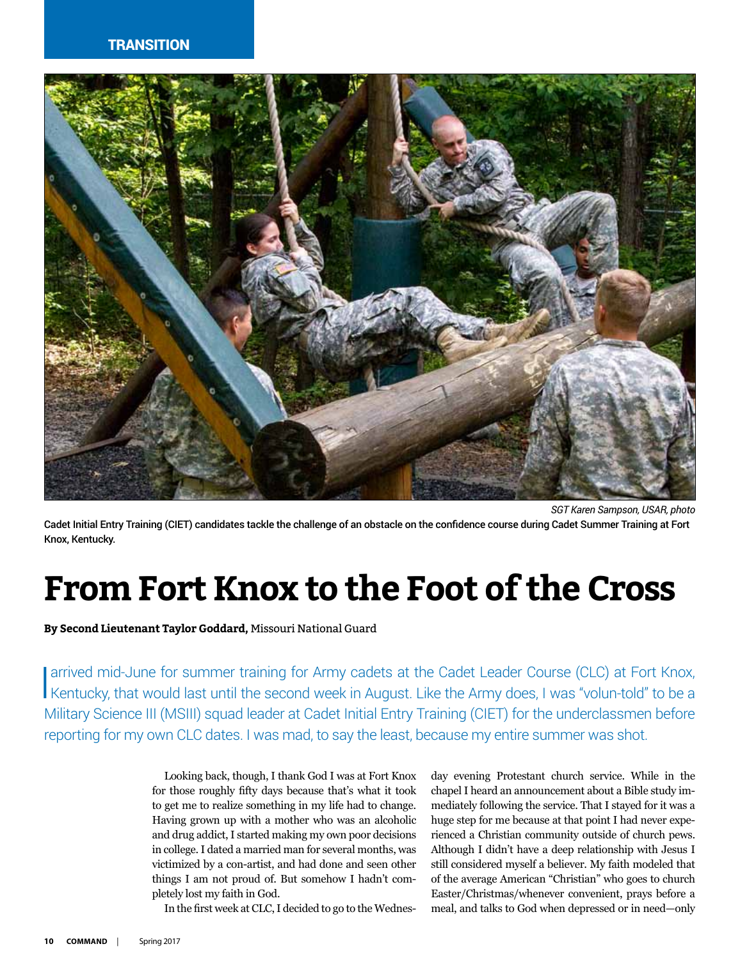#### **TRANSITION**



*SGT Karen Sampson, USAR, photo* Cadet Initial Entry Training (CIET) candidates tackle the challenge of an obstacle on the confidence course during Cadet Summer Training at Fort Knox, Kentucky.

### **From Fort Knox to the Foot of the Cross**

**By Second Lieutenant Taylor Goddard,** Missouri National Guard

arrived mid-June for summer training for Army cadets at the Cadet Leader Course (CLC) at Fort Knox, Kentucky, that would last until the second week in August. Like the Army does, I was "volun-told" to be a Military Science III (MSIII) squad leader at Cadet Initial Entry Training (CIET) for the underclassmen before reporting for my own CLC dates. I was mad, to say the least, because my entire summer was shot.

> Looking back, though, I thank God I was at Fort Knox for those roughly fifty days because that's what it took to get me to realize something in my life had to change. Having grown up with a mother who was an alcoholic and drug addict, I started making my own poor decisions in college. I dated a married man for several months, was victimized by a con-artist, and had done and seen other things I am not proud of. But somehow I hadn't completely lost my faith in God.

In the first week at CLC, I decided to go to the Wednes-

day evening Protestant church service. While in the chapel I heard an announcement about a Bible study immediately following the service. That I stayed for it was a huge step for me because at that point I had never experienced a Christian community outside of church pews. Although I didn't have a deep relationship with Jesus I still considered myself a believer. My faith modeled that of the average American "Christian" who goes to church Easter/Christmas/whenever convenient, prays before a meal, and talks to God when depressed or in need—only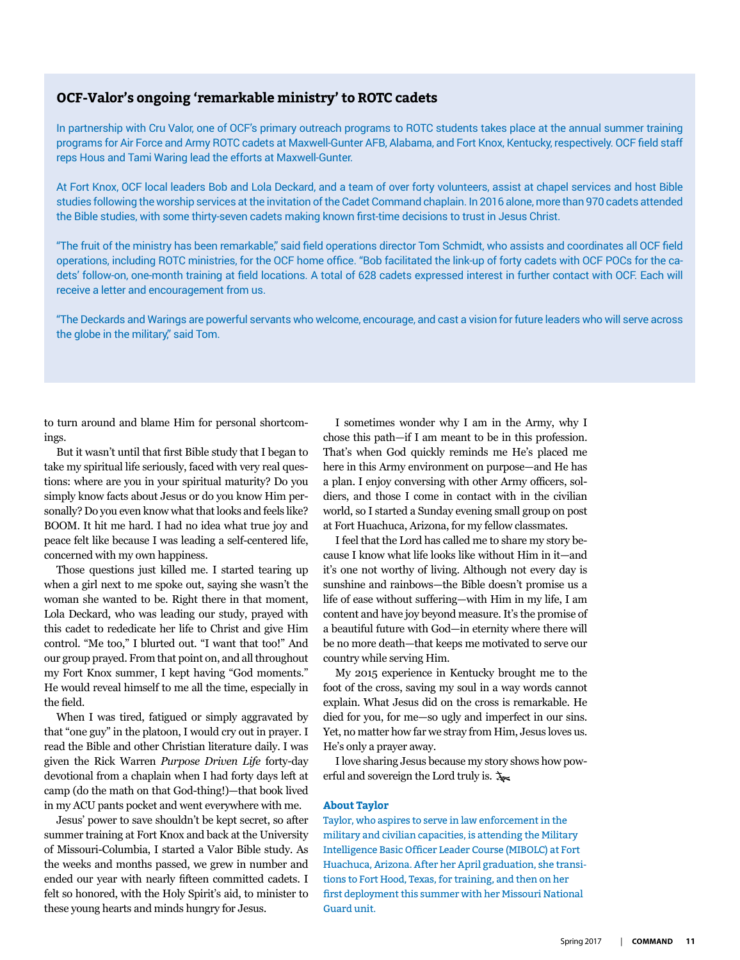#### **OCF-Valor's ongoing 'remarkable ministry' to ROTC cadets**

In partnership with Cru Valor, one of OCF's primary outreach programs to ROTC students takes place at the annual summer training programs for Air Force and Army ROTC cadets at Maxwell-Gunter AFB, Alabama, and Fort Knox, Kentucky, respectively. OCF field staff reps Hous and Tami Waring lead the efforts at Maxwell-Gunter.

At Fort Knox, OCF local leaders Bob and Lola Deckard, and a team of over forty volunteers, assist at chapel services and host Bible studies following the worship services at the invitation of the Cadet Command chaplain. In 2016 alone, more than 970 cadets attended the Bible studies, with some thirty-seven cadets making known first-time decisions to trust in Jesus Christ.

"The fruit of the ministry has been remarkable," said field operations director Tom Schmidt, who assists and coordinates all OCF field operations, including ROTC ministries, for the OCF home office. "Bob facilitated the link-up of forty cadets with OCF POCs for the cadets' follow-on, one-month training at field locations. A total of 628 cadets expressed interest in further contact with OCF. Each will receive a letter and encouragement from us.

"The Deckards and Warings are powerful servants who welcome, encourage, and cast a vision for future leaders who will serve across the globe in the military," said Tom.

to turn around and blame Him for personal shortcomings.

But it wasn't until that first Bible study that I began to take my spiritual life seriously, faced with very real questions: where are you in your spiritual maturity? Do you simply know facts about Jesus or do you know Him personally? Do you even know what that looks and feels like? BOOM. It hit me hard. I had no idea what true joy and peace felt like because I was leading a self-centered life, concerned with my own happiness.

Those questions just killed me. I started tearing up when a girl next to me spoke out, saying she wasn't the woman she wanted to be. Right there in that moment, Lola Deckard, who was leading our study, prayed with this cadet to rededicate her life to Christ and give Him control. "Me too," I blurted out. "I want that too!" And our group prayed. From that point on, and all throughout my Fort Knox summer, I kept having "God moments." He would reveal himself to me all the time, especially in the field.

When I was tired, fatigued or simply aggravated by that "one guy" in the platoon, I would cry out in prayer. I read the Bible and other Christian literature daily. I was given the Rick Warren *Purpose Driven Life* forty-day devotional from a chaplain when I had forty days left at camp (do the math on that God-thing!)—that book lived in my ACU pants pocket and went everywhere with me.

Jesus' power to save shouldn't be kept secret, so after summer training at Fort Knox and back at the University of Missouri-Columbia, I started a Valor Bible study. As the weeks and months passed, we grew in number and ended our year with nearly fifteen committed cadets. I felt so honored, with the Holy Spirit's aid, to minister to these young hearts and minds hungry for Jesus.

I sometimes wonder why I am in the Army, why I chose this path—if I am meant to be in this profession. That's when God quickly reminds me He's placed me here in this Army environment on purpose—and He has a plan. I enjoy conversing with other Army officers, soldiers, and those I come in contact with in the civilian world, so I started a Sunday evening small group on post at Fort Huachuca, Arizona, for my fellow classmates.

I feel that the Lord has called me to share my story because I know what life looks like without Him in it—and it's one not worthy of living. Although not every day is sunshine and rainbows—the Bible doesn't promise us a life of ease without suffering—with Him in my life, I am content and have joy beyond measure. It's the promise of a beautiful future with God—in eternity where there will be no more death—that keeps me motivated to serve our country while serving Him.

My 2015 experience in Kentucky brought me to the foot of the cross, saving my soul in a way words cannot explain. What Jesus did on the cross is remarkable. He died for you, for me—so ugly and imperfect in our sins. Yet, no matter how far we stray from Him, Jesus loves us. He's only a prayer away.

I love sharing Jesus because my story shows how powerful and sovereign the Lord truly is.  $\lambda$ 

#### **About Taylor**

Taylor, who aspires to serve in law enforcement in the military and civilian capacities, is attending the Military Intelligence Basic Officer Leader Course (MIBOLC) at Fort Huachuca, Arizona. After her April graduation, she transitions to Fort Hood, Texas, for training, and then on her first deployment this summer with her Missouri National Guard unit.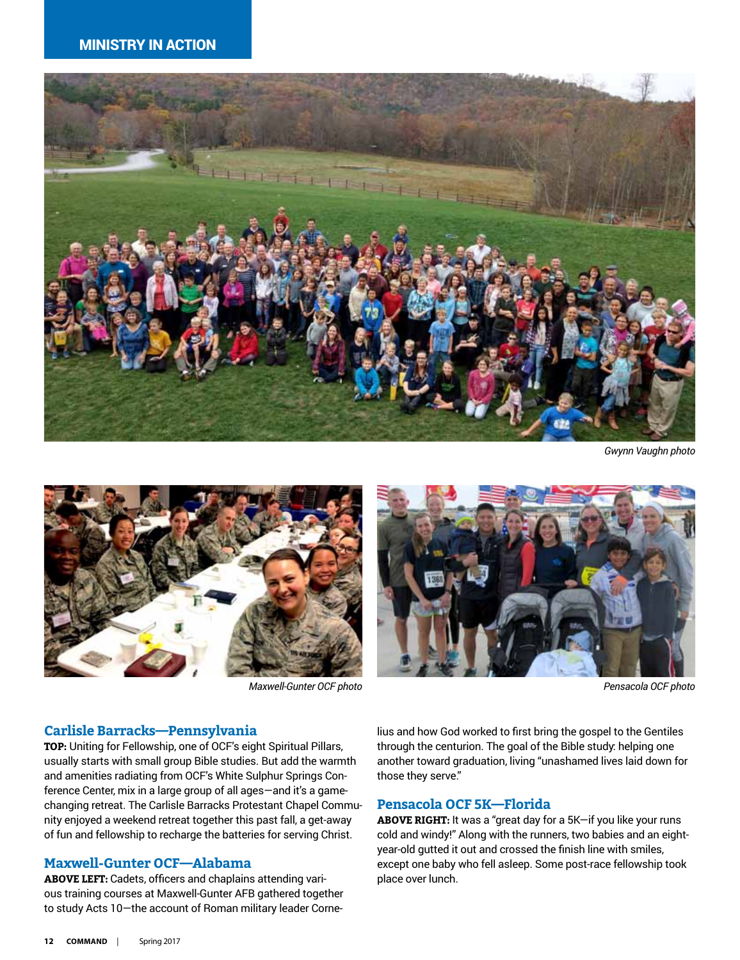

*Gwynn Vaughn photo*



*Maxwell-Gunter OCF photo Pensacola OCF photo*



#### **Carlisle Barracks—Pennsylvania**

**TOP:** Uniting for Fellowship, one of OCF's eight Spiritual Pillars, usually starts with small group Bible studies. But add the warmth and amenities radiating from OCF's White Sulphur Springs Conference Center, mix in a large group of all ages—and it's a gamechanging retreat. The Carlisle Barracks Protestant Chapel Community enjoyed a weekend retreat together this past fall, a get-away of fun and fellowship to recharge the batteries for serving Christ.

#### **Maxwell-Gunter OCF—Alabama**

**ABOVE LEFT:** Cadets, officers and chaplains attending various training courses at Maxwell-Gunter AFB gathered together to study Acts 10—the account of Roman military leader Cornelius and how God worked to first bring the gospel to the Gentiles through the centurion. The goal of the Bible study: helping one another toward graduation, living "unashamed lives laid down for those they serve."

#### **Pensacola OCF 5K—Florida**

**ABOVE RIGHT:** It was a "great day for a 5K—if you like your runs cold and windy!" Along with the runners, two babies and an eightyear-old gutted it out and crossed the finish line with smiles, except one baby who fell asleep. Some post-race fellowship took place over lunch.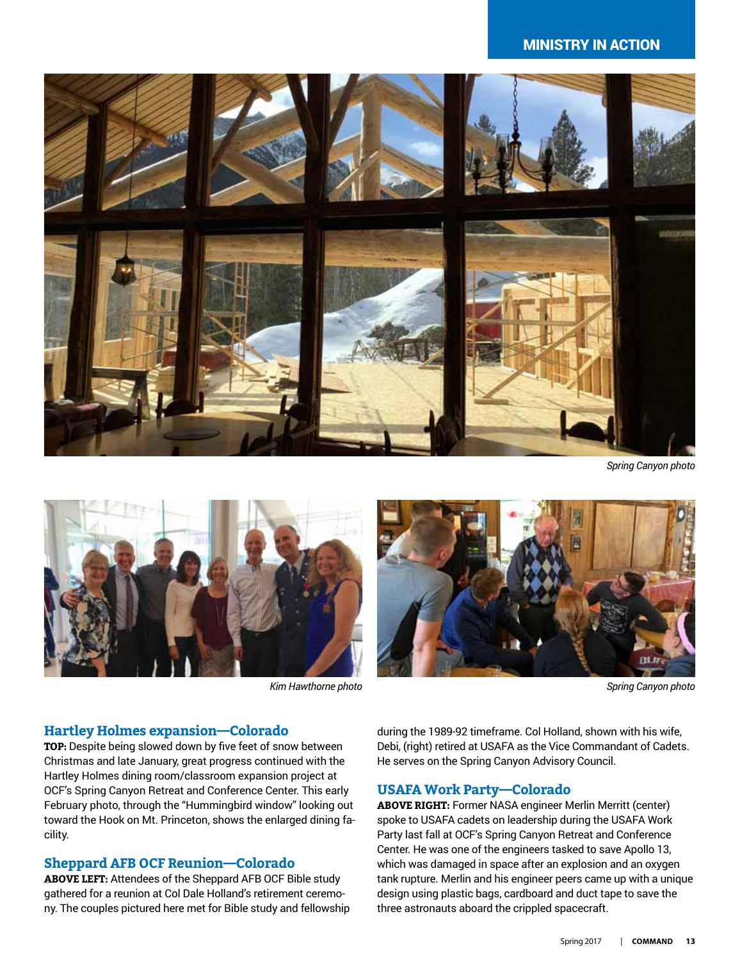#### ministry in action



*Spring Canyon photo*





*Kim Hawthorne photo Spring Canyon photo*

#### **Hartley Holmes expansion—Colorado**

**TOP:** Despite being slowed down by five feet of snow between Christmas and late January, great progress continued with the Hartley Holmes dining room/classroom expansion project at OCF's Spring Canyon Retreat and Conference Center. This early February photo, through the "Hummingbird window" looking out toward the Hook on Mt. Princeton, shows the enlarged dining facility.

#### **Sheppard AFB OCF Reunion—Colorado**

**ABOVE LEFT:** Attendees of the Sheppard AFB OCF Bible study gathered for a reunion at Col Dale Holland's retirement ceremony. The couples pictured here met for Bible study and fellowship during the 1989-92 timeframe. Col Holland, shown with his wife, Debi, (right) retired at USAFA as the Vice Commandant of Cadets. He serves on the Spring Canyon Advisory Council.

#### **USAFA Work Party—Colorado**

**ABOVE RIGHT:** Former NASA engineer Merlin Merritt (center) spoke to USAFA cadets on leadership during the USAFA Work Party last fall at OCF's Spring Canyon Retreat and Conference Center. He was one of the engineers tasked to save Apollo 13, which was damaged in space after an explosion and an oxygen tank rupture. Merlin and his engineer peers came up with a unique design using plastic bags, cardboard and duct tape to save the three astronauts aboard the crippled spacecraft.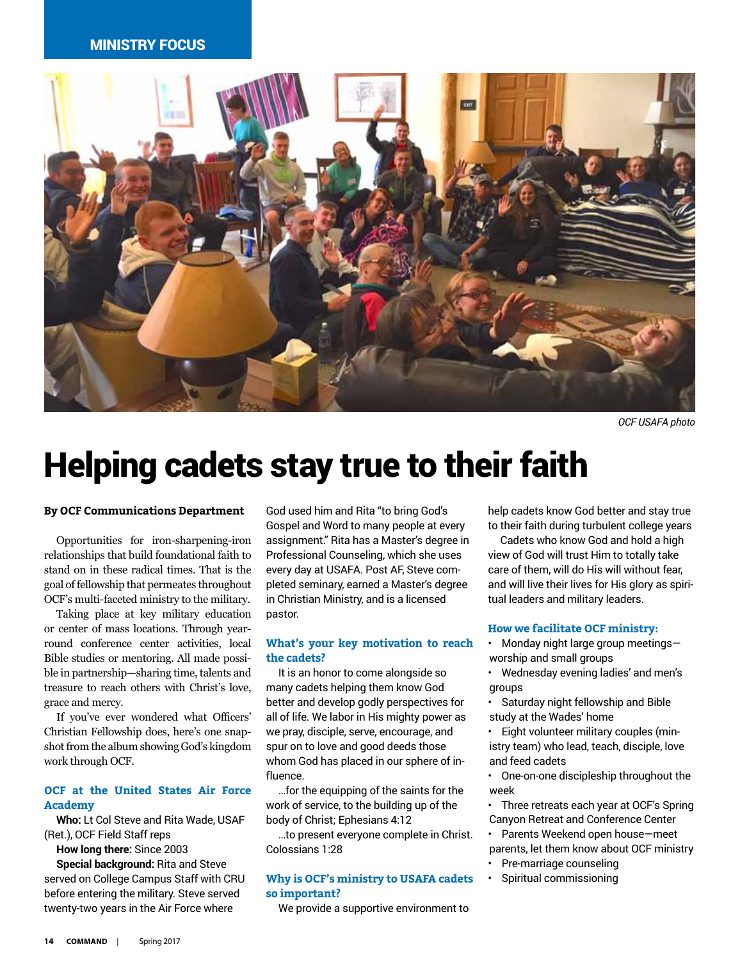#### ministry focus



*OCF USAFA photo*

### Helping cadets stay true to their faith

#### **By OCF Communications Department**

Opportunities for iron-sharpening-iron relationships that build foundational faith to stand on in these radical times. That is the goal of fellowship that permeates throughout OCF's multi-faceted ministry to the military.

Taking place at key military education or center of mass locations. Through yearround conference center activities, local Bible studies or mentoring. All made possible in partnership—sharing time, talents and treasure to reach others with Christ's love, grace and mercy.

If you've ever wondered what Officers' Christian Fellowship does, here's one snapshot from the album showing God's kingdom work through OCF.

#### **OCF at the United States Air Force Academy**

**Who:** Lt Col Steve and Rita Wade, USAF (Ret.), OCF Field Staff reps

**How long there:** Since 2003

**Special background:** Rita and Steve served on College Campus Staff with CRU before entering the military. Steve served twenty-two years in the Air Force where

God used him and Rita "to bring God's Gospel and Word to many people at every assignment." Rita has a Master's degree in Professional Counseling, which she uses every day at USAFA. Post AF, Steve completed seminary, earned a Master's degree in Christian Ministry, and is a licensed pastor.

#### **What's your key motivation to reach the cadets?**

It is an honor to come alongside so many cadets helping them know God better and develop godly perspectives for all of life. We labor in His mighty power as we pray, disciple, serve, encourage, and spur on to love and good deeds those whom God has placed in our sphere of influence.

…for the equipping of the saints for the work of service, to the building up of the body of Christ; Ephesians 4:12

…to present everyone complete in Christ. Colossians 1:28

#### **Why is OCF's ministry to USAFA cadets so important?**

We provide a supportive environment to

help cadets know God better and stay true to their faith during turbulent college years

Cadets who know God and hold a high view of God will trust Him to totally take care of them, will do His will without fear, and will live their lives for His glory as spiritual leaders and military leaders.

#### **How we facilitate OCF ministry:**

- Monday night large group meetings worship and small groups
- Wednesday evening ladies' and men's groups
- Saturday night fellowship and Bible study at the Wades' home
- Eight volunteer military couples (ministry team) who lead, teach, disciple, love and feed cadets
- One-on-one discipleship throughout the week
- Three retreats each year at OCF's Spring Canyon Retreat and Conference Center
- Parents Weekend open house—meet parents, let them know about OCF ministry
- Pre-marriage counseling
- Spiritual commissioning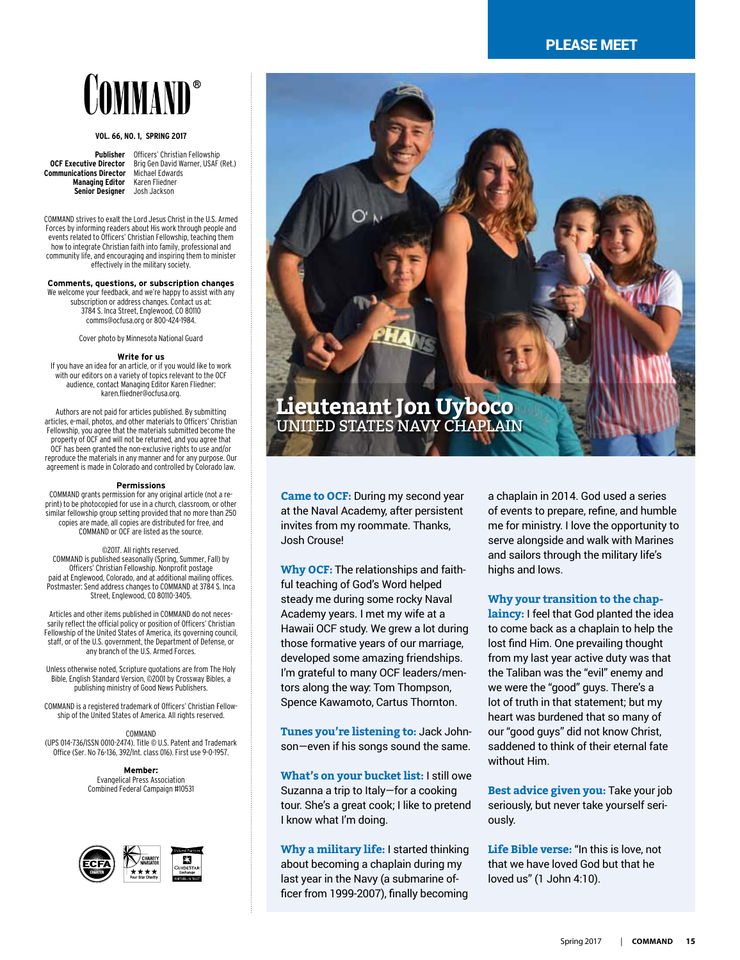#### please meet

## COMMAND®

#### **Vol. 66, No. 1, Spring 2017**

**Publisher** Officers' Christian Fellowship<br>**OCF Executive Director** Brig Gen David Warner, USAF **Communications Director** Michael Edward<br>**Managing Editor** Karen Fliedner **Managing Editor** Karen Fliedne<br>**Senior Designer** Josh Jackson **Senior Designer** 

Brig Gen David Warner, USAF (Ret.)<br>Michael Edwards

COMMAND strives to exalt the Lord Jesus Christ in the U.S. Armed Forces by informing readers about His work through people and events related to Officers' Christian Fellowship, teaching them how to integrate Christian faith into family, professional and community life, and encouraging and inspiring them to minister effectively in the military society.

#### **Comments, questions, or subscription changes**

We welcome your feedback, and we're happy to assist with any subscription or address changes. Contact us at: 3784 S. Inca Street, Englewood, CO 80110 comms@ocfusa.org or 800-424-1984.

Cover photo by Minnesota National Guard

#### **Write for us**

If you have an idea for an article, or if you would like to work with our editors on a variety of topics relevant to the OCF audience, contact Managing Editor Karen Fliedner: [karen.fliedner@ocfusa.org](mailto:karen.fliedner@ocfusa.org).

Authors are not paid for articles published. By submitting articles, e-mail, photos, and other materials to Officers' Christian Fellowship, you agree that the materials submitted become the property of OCF and will not be returned, and you agree that OCF has been granted the non-exclusive rights to use and/or reproduce the materials in any manner and for any purpose. Our agreement is made in Colorado and controlled by Colorado law.

#### **Permissions**

COMMAND grants permission for any original article (not a reprint) to be photocopied for use in a church, classroom, or other similar fellowship group setting provided that no more than 250 copies are made, allcopies are distributed for free, and COMMAND or OCF are listed as the source.

#### ©2017. All rights reserved.

COMMAND is published seasonally (Spring, Summer, Fall) by Officers' Christian Fellowship. Nonprofit postage paid at Englewood, Colorado, and at additional mailing offices. Postmaster: Send addresschanges to COMMAND at 3784 S. Inca Street, Englewood, CO 80110-3405.

Articles and other items published in COMMAND do not necessarily reflect the official policy or position of Officers' Christian Fellowship of the United States of America, its governing council, staff, or of the U.S. government, the Department of Defense, or any branch of the U.S. Armed Forces.

Unless otherwise noted, Scripture quotations are from The Holy Bible, English Standard Version, ©2001 by Crossway Bibles, a publishing ministry of Good News Publishers.

COMMAND is a registered trademark of Officers' Christian Fellowship of the United States of America. All rights reserved.

COMMAND (UPS 014-736/ISSN 0010-2474). Title © U.S. Patent and Trademark Office (Ser. No 76-136, 392/Int.class 016). First use 9-0-1957.

> **Member:** Evangelical Press Association Combined Federal Campaign #10531





**Came to OCF:** During my second year at the Naval Academy, after persistent invites from my roommate. Thanks, Josh Crouse!

**Why OCF:** The relationships and faithful teaching of God's Word helped steady me during some rocky Naval Academy years. I met my wife at a Hawaii OCF study. We grew a lot during those formative years of our marriage, developed some amazing friendships. I'm grateful to many OCF leaders/mentors along the way: Tom Thompson, Spence Kawamoto, Cartus Thornton.

**Tunes you're listening to:** Jack Johnson—even if his songs sound the same.

**What's on your bucket list:** I still owe Suzanna a trip to Italy—for a cooking tour. She's a great cook; I like to pretend I know what I'm doing.

**Why a military life:** I started thinking about becoming a chaplain during my last year in the Navy (a submarine officer from 1999-2007), finally becoming

a chaplain in 2014. God used a series of events to prepare, refine, and humble me for ministry. I love the opportunity to serve alongside and walk with Marines and sailors through the military life's highs and lows.

#### **Why your transition to the chap-**

**laincy:** I feel that God planted the idea to come back as a chaplain to help the lost find Him. One prevailing thought from my last year active duty was that the Taliban was the "evil" enemy and we were the "good" guys. There's a lot of truth in that statement; but my heart was burdened that so many of our "good guys" did not know Christ, saddened to think of their eternal fate without Him.

**Best advice given you:** Take your job seriously, but never take yourself seriously.

**Life Bible verse:** "In this is love, not that we have loved God but that he loved us" (1 John 4:10).